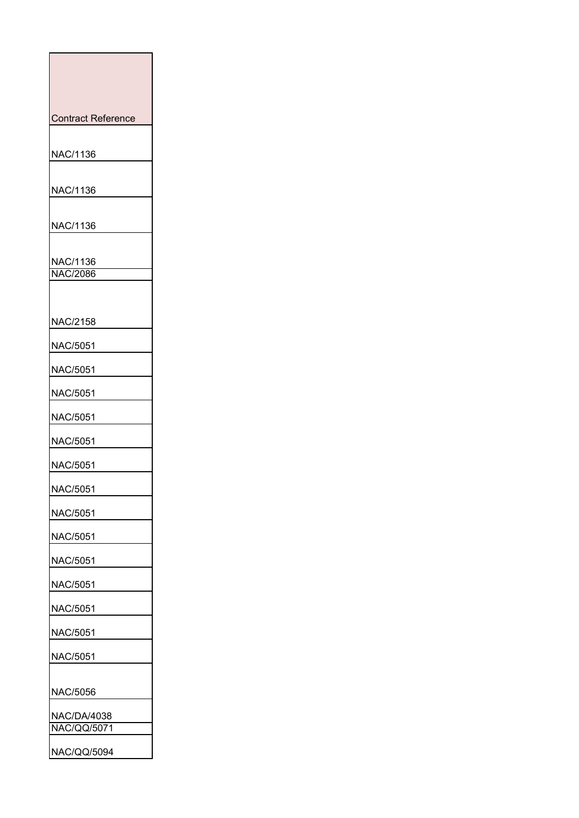| <b>Contract Reference</b>                |
|------------------------------------------|
| NAC/1136                                 |
| NAC/1136                                 |
| NAC/1136                                 |
| <u>NAC/1136</u><br><b>NAC/2086</b>       |
| NAC/2158                                 |
| NAC/5051                                 |
| NAC/5051                                 |
| NAC/5051                                 |
| NAC/5051                                 |
| NAC/5051                                 |
| NAC/5051                                 |
| NAC/5051                                 |
| NAC/5051                                 |
| NAC/5051                                 |
| NAC/5051                                 |
| NAC/5051                                 |
| NAC/5051                                 |
| NAC/5051                                 |
| NAC/5051                                 |
| NAC/5056                                 |
| <b>NAC/DA/4038</b><br><b>NAC/QQ/5071</b> |
| NAC/QQ/5094                              |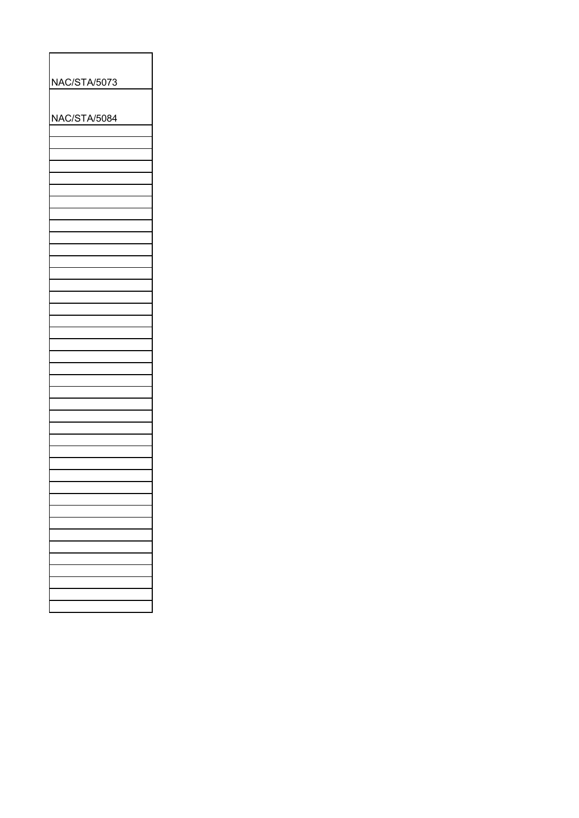| NAC/STA/5073 |  |  |
|--------------|--|--|
| NAC/STA/5084 |  |  |
|              |  |  |
|              |  |  |
|              |  |  |
|              |  |  |
|              |  |  |
|              |  |  |
|              |  |  |
|              |  |  |
|              |  |  |
|              |  |  |
|              |  |  |
|              |  |  |
|              |  |  |
|              |  |  |
|              |  |  |
|              |  |  |
|              |  |  |
|              |  |  |
|              |  |  |
|              |  |  |
|              |  |  |
|              |  |  |
|              |  |  |
|              |  |  |
|              |  |  |
|              |  |  |
|              |  |  |
|              |  |  |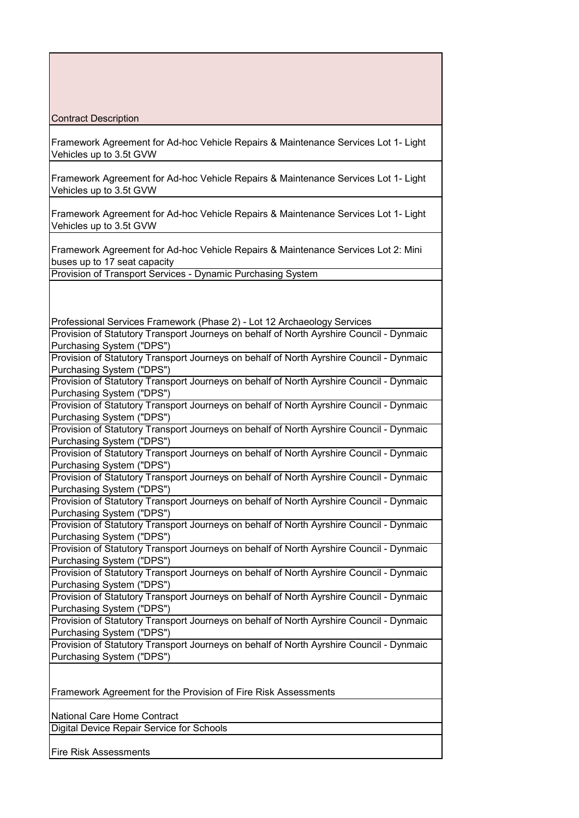Contract Description

Framework Agreement for Ad-hoc Vehicle Repairs & Maintenance Services Lot 1- Light Vehicles up to 3.5t GVW

Framework Agreement for Ad-hoc Vehicle Repairs & Maintenance Services Lot 1- Light Vehicles up to 3.5t GVW

Framework Agreement for Ad-hoc Vehicle Repairs & Maintenance Services Lot 1- Light Vehicles up to 3.5t GVW

Framework Agreement for Ad-hoc Vehicle Repairs & Maintenance Services Lot 2: Mini buses up to 17 seat capacity

Provision of Transport Services - Dynamic Purchasing System

Professional Services Framework (Phase 2) - Lot 12 Archaeology Services Provision of Statutory Transport Journeys on behalf of North Ayrshire Council - Dynmaic Purchasing System ("DPS") Provision of Statutory Transport Journeys on behalf of North Ayrshire Council - Dynmaic Purchasing System ("DPS") Provision of Statutory Transport Journeys on behalf of North Ayrshire Council - Dynmaic Purchasing System ("DPS") Provision of Statutory Transport Journeys on behalf of North Ayrshire Council - Dynmaic Purchasing System ("DPS") Provision of Statutory Transport Journeys on behalf of North Ayrshire Council - Dynmaic Purchasing System ("DPS") Provision of Statutory Transport Journeys on behalf of North Ayrshire Council - Dynmaic Purchasing System ("DPS") Provision of Statutory Transport Journeys on behalf of North Ayrshire Council - Dynmaic Purchasing System ("DPS") Provision of Statutory Transport Journeys on behalf of North Ayrshire Council - Dynmaic Purchasing System ("DPS") Provision of Statutory Transport Journeys on behalf of North Ayrshire Council - Dynmaic Purchasing System ("DPS") Provision of Statutory Transport Journeys on behalf of North Ayrshire Council - Dynmaic Purchasing System ("DPS") Provision of Statutory Transport Journeys on behalf of North Ayrshire Council - Dynmaic Purchasing System ("DPS") Provision of Statutory Transport Journeys on behalf of North Ayrshire Council - Dynmaic Purchasing System ("DPS") Provision of Statutory Transport Journeys on behalf of North Ayrshire Council - Dynmaic Purchasing System ("DPS") Provision of Statutory Transport Journeys on behalf of North Ayrshire Council - Dynmaic Purchasing System ("DPS") Framework Agreement for the Provision of Fire Risk Assessments National Care Home Contract Digital Device Repair Service for Schools Fire Risk Assessments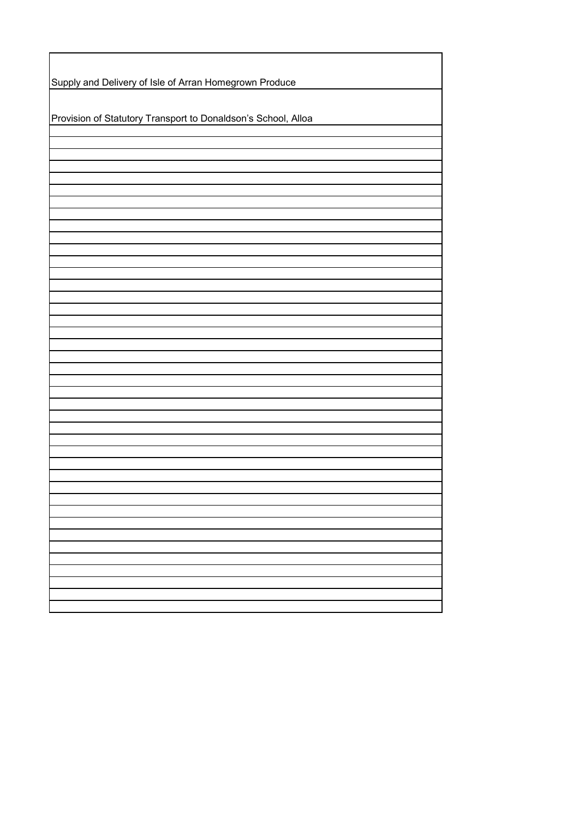| Supply and Delivery of Isle of Arran Homegrown Produce        |  |  |
|---------------------------------------------------------------|--|--|
| Provision of Statutory Transport to Donaldson's School, Alloa |  |  |
|                                                               |  |  |
|                                                               |  |  |
|                                                               |  |  |
|                                                               |  |  |
|                                                               |  |  |
|                                                               |  |  |
|                                                               |  |  |
|                                                               |  |  |
|                                                               |  |  |
|                                                               |  |  |
|                                                               |  |  |
|                                                               |  |  |
|                                                               |  |  |
|                                                               |  |  |
|                                                               |  |  |
|                                                               |  |  |
|                                                               |  |  |
|                                                               |  |  |
|                                                               |  |  |
|                                                               |  |  |
|                                                               |  |  |
|                                                               |  |  |
|                                                               |  |  |
|                                                               |  |  |
|                                                               |  |  |
|                                                               |  |  |
|                                                               |  |  |
|                                                               |  |  |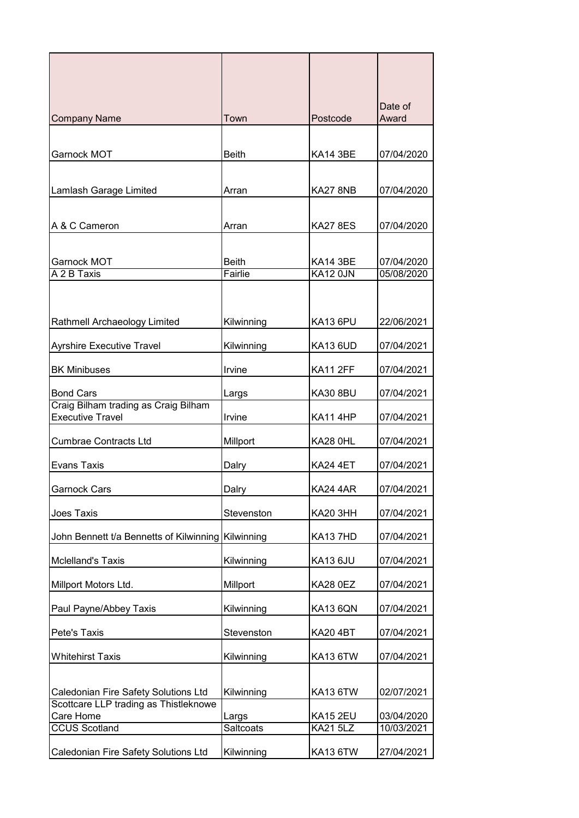| <b>Company Name</b>                                      | Town                    | Postcode                    | Date of<br>Award         |
|----------------------------------------------------------|-------------------------|-----------------------------|--------------------------|
|                                                          |                         |                             |                          |
| Garnock MOT                                              | <b>Beith</b>            | <b>KA14 3BE</b>             | 07/04/2020               |
|                                                          |                         |                             |                          |
| Lamlash Garage Limited                                   | Arran                   | KA27 8NB                    | 07/04/2020               |
|                                                          |                         |                             |                          |
| A & C Cameron                                            | Arran                   | <b>KA27 8ES</b>             | 07/04/2020               |
|                                                          |                         |                             |                          |
| Garnock MOT<br>A 2 B Taxis                               | <b>Beith</b><br>Fairlie | <b>KA14 3BE</b><br>KA12 0JN | 07/04/2020<br>05/08/2020 |
|                                                          |                         |                             |                          |
|                                                          |                         |                             |                          |
| Rathmell Archaeology Limited                             | Kilwinning              | KA13 6PU                    | 22/06/2021               |
| Ayrshire Executive Travel                                | Kilwinning              | <b>KA13 6UD</b>             | 07/04/2021               |
| <b>BK Minibuses</b>                                      | Irvine                  | <b>KA11 2FF</b>             | 07/04/2021               |
|                                                          |                         |                             |                          |
| <b>Bond Cars</b><br>Craig Bilham trading as Craig Bilham | Largs                   | <b>KA30 8BU</b>             | 07/04/2021               |
| <b>Executive Travel</b>                                  | Irvine                  | <b>KA11 4HP</b>             | 07/04/2021               |
| <b>Cumbrae Contracts Ltd</b>                             | Millport                | <b>KA28 0HL</b>             | 07/04/2021               |
| <b>Evans Taxis</b>                                       | Dalry                   | <b>KA24 4ET</b>             | 07/04/2021               |
| <b>Garnock Cars</b>                                      | Dalry                   | <b>KA24 4AR</b>             | 07/04/2021               |
| Joes Taxis                                               | Stevenston              | <b>KA20 3HH</b>             | 07/04/2021               |
| John Bennett t/a Bennetts of Kilwinning Kilwinning       |                         | <b>KA137HD</b>              | 07/04/2021               |
| <b>Mclelland's Taxis</b>                                 | Kilwinning              | KA13 6JU                    | 07/04/2021               |
| Millport Motors Ltd.                                     | Millport                | <b>KA28 0EZ</b>             | 07/04/2021               |
| Paul Payne/Abbey Taxis                                   | Kilwinning              | <b>KA13 6QN</b>             | 07/04/2021               |
| Pete's Taxis                                             | Stevenston              | <b>KA20 4BT</b>             | 07/04/2021               |
| <b>Whitehirst Taxis</b>                                  | Kilwinning              | <b>KA13 6TW</b>             | 07/04/2021               |
|                                                          |                         |                             |                          |
| Caledonian Fire Safety Solutions Ltd                     | Kilwinning              | <b>KA13 6TW</b>             | 02/07/2021               |
| Scottcare LLP trading as Thistleknowe<br>Care Home       | Largs                   | <b>KA15 2EU</b>             | 03/04/2020               |
| <b>CCUS Scotland</b>                                     | Saltcoats               | <b>KA21 5LZ</b>             | 10/03/2021               |
| Caledonian Fire Safety Solutions Ltd                     | Kilwinning              | <b>KA13 6TW</b>             | 27/04/2021               |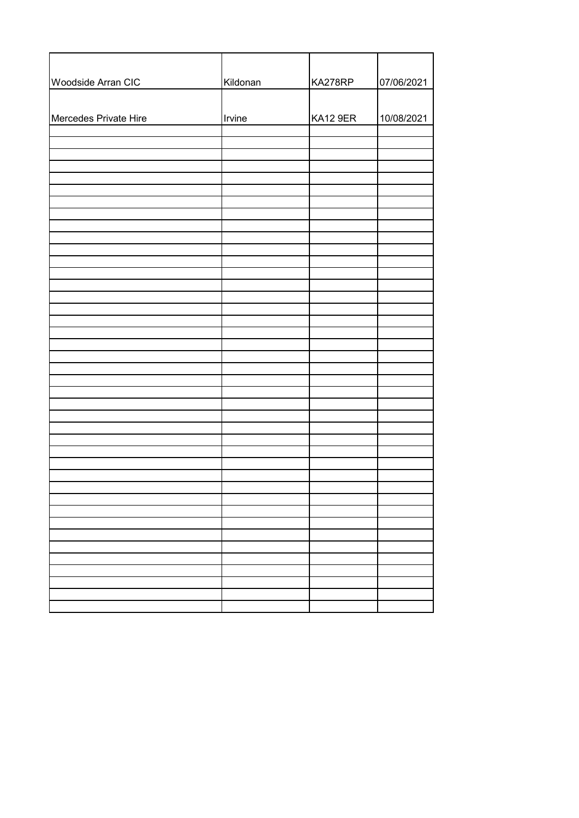| Woodside Arran CIC    | Kildonan | KA278RP  | 07/06/2021 |
|-----------------------|----------|----------|------------|
|                       |          |          |            |
| Mercedes Private Hire | Irvine   | KA12 9ER | 10/08/2021 |
|                       |          |          |            |
|                       |          |          |            |
|                       |          |          |            |
|                       |          |          |            |
|                       |          |          |            |
|                       |          |          |            |
|                       |          |          |            |
|                       |          |          |            |
|                       |          |          |            |
|                       |          |          |            |
|                       |          |          |            |
|                       |          |          |            |
|                       |          |          |            |
|                       |          |          |            |
|                       |          |          |            |
|                       |          |          |            |
|                       |          |          |            |
|                       |          |          |            |
|                       |          |          |            |
|                       |          |          |            |
|                       |          |          |            |
|                       |          |          |            |
|                       |          |          |            |
|                       |          |          |            |
|                       |          |          |            |
|                       |          |          |            |
|                       |          |          |            |
|                       |          |          |            |
|                       |          |          |            |
|                       |          |          |            |
|                       |          |          |            |
|                       |          |          |            |
|                       |          |          |            |
|                       |          |          |            |
|                       |          |          |            |
|                       |          |          |            |
|                       |          |          |            |
|                       |          |          |            |
|                       |          |          |            |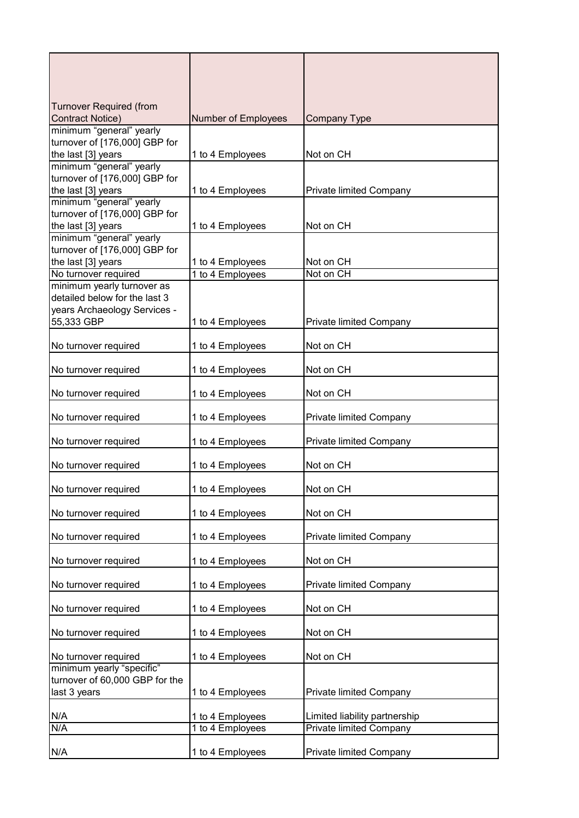| <b>Turnover Required (from</b>                            |                     |                                |
|-----------------------------------------------------------|---------------------|--------------------------------|
| <b>Contract Notice)</b>                                   | Number of Employees | <b>Company Type</b>            |
| minimum "general" yearly                                  |                     |                                |
| turnover of [176,000] GBP for                             |                     |                                |
| the last [3] years                                        | 1 to 4 Employees    | Not on CH                      |
| minimum "general" yearly<br>turnover of [176,000] GBP for |                     |                                |
| the last [3] years                                        |                     |                                |
| minimum "general" yearly                                  | 1 to 4 Employees    | Private limited Company        |
| turnover of [176,000] GBP for                             |                     |                                |
| the last [3] years                                        | 1 to 4 Employees    | Not on CH                      |
| minimum "general" yearly                                  |                     |                                |
| turnover of [176,000] GBP for                             |                     |                                |
| the last [3] years                                        | 1 to 4 Employees    | Not on CH                      |
| No turnover required                                      | 1 to 4 Employees    | Not on CH                      |
| minimum yearly turnover as                                |                     |                                |
| detailed below for the last 3                             |                     |                                |
| years Archaeology Services -                              |                     |                                |
| 55,333 GBP                                                | 1 to 4 Employees    | Private limited Company        |
|                                                           |                     |                                |
| No turnover required                                      | 1 to 4 Employees    | Not on CH                      |
|                                                           |                     |                                |
| No turnover required                                      | 1 to 4 Employees    | Not on CH                      |
|                                                           |                     |                                |
| No turnover required                                      | 1 to 4 Employees    | Not on CH                      |
|                                                           |                     |                                |
| No turnover required                                      | 1 to 4 Employees    | Private limited Company        |
| No turnover required                                      | 1 to 4 Employees    | Private limited Company        |
|                                                           |                     |                                |
| No turnover required                                      | 1 to 4 Employees    | Not on CH                      |
|                                                           |                     |                                |
| No turnover required                                      | 1 to 4 Employees    | Not on CH                      |
|                                                           |                     |                                |
| No turnover required                                      | 1 to 4 Employees    | Not on CH                      |
|                                                           |                     |                                |
| No turnover required                                      | 1 to 4 Employees    | Private limited Company        |
|                                                           |                     |                                |
| No turnover required                                      | 1 to 4 Employees    | Not on CH                      |
|                                                           |                     |                                |
| No turnover required                                      | 1 to 4 Employees    | <b>Private limited Company</b> |
|                                                           |                     |                                |
| No turnover required                                      | 1 to 4 Employees    | Not on CH                      |
|                                                           |                     |                                |
| No turnover required                                      | 1 to 4 Employees    | Not on CH                      |
| No turnover required                                      |                     | Not on CH                      |
| minimum yearly "specific"                                 | 1 to 4 Employees    |                                |
| turnover of 60,000 GBP for the                            |                     |                                |
| last 3 years                                              | 1 to 4 Employees    | Private limited Company        |
|                                                           |                     |                                |
| N/A                                                       | 1 to 4 Employees    | Limited liability partnership  |
| N/A                                                       | 1 to 4 Employees    | <b>Private limited Company</b> |
|                                                           |                     |                                |
| N/A                                                       | 1 to 4 Employees    | Private limited Company        |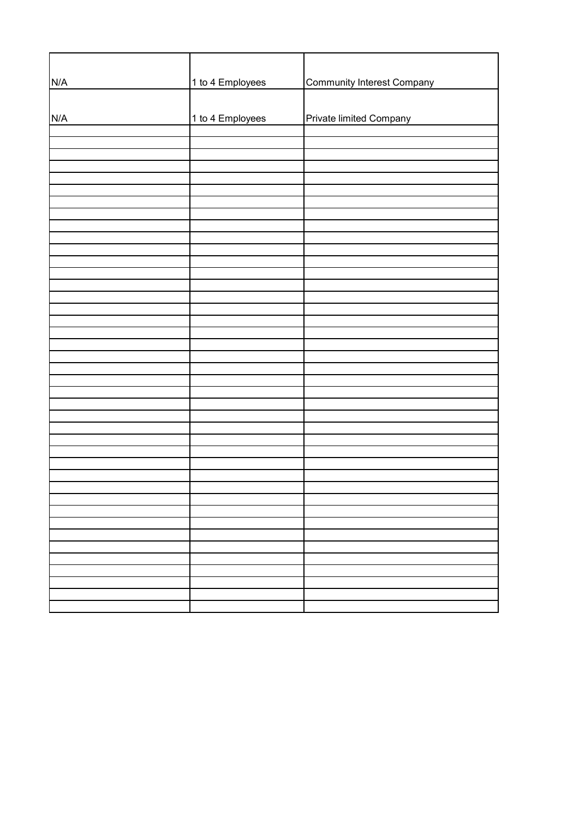| N/A | 1 to 4 Employees | <b>Community Interest Company</b> |
|-----|------------------|-----------------------------------|
|     |                  |                                   |
| N/A | 1 to 4 Employees | Private limited Company           |
|     |                  |                                   |
|     |                  |                                   |
|     |                  |                                   |
|     |                  |                                   |
|     |                  |                                   |
|     |                  |                                   |
|     |                  |                                   |
|     |                  |                                   |
|     |                  |                                   |
|     |                  |                                   |
|     |                  |                                   |
|     |                  |                                   |
|     |                  |                                   |
|     |                  |                                   |
|     |                  |                                   |
|     |                  |                                   |
|     |                  |                                   |
|     |                  |                                   |
|     |                  |                                   |
|     |                  |                                   |
|     |                  |                                   |
|     |                  |                                   |
|     |                  |                                   |
|     |                  |                                   |
|     |                  |                                   |
|     |                  |                                   |
|     |                  |                                   |
|     |                  |                                   |
|     |                  |                                   |
|     |                  |                                   |
|     |                  |                                   |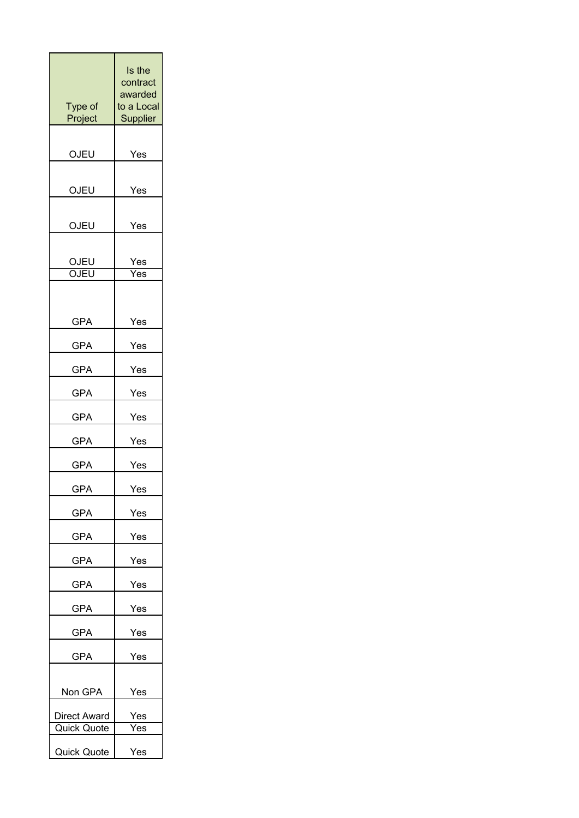| Type of            | Is the<br>contract<br>awarded<br>to a Local |
|--------------------|---------------------------------------------|
| Project            | Supplier                                    |
| OJEU               | Yes                                         |
| OJEU               | Yes                                         |
| OJEU               | Yes                                         |
| OJEU<br>OJEU       | Yes<br>$\overline{\mathsf{Yes}}$            |
| <b>GPA</b>         | Yes                                         |
| GPA                | Yes                                         |
| <b>GPA</b>         | Yes                                         |
| <b>GPA</b>         | Yes                                         |
| GPA                | Yes                                         |
| <b>GPA</b>         | Yes                                         |
| GPA                | Yes                                         |
| GPA                | Yes                                         |
| <b>GPA</b>         | Yes                                         |
| GPA                | Yes                                         |
| GPA                | Yes                                         |
| GPA                | Yes                                         |
| GPA                | Yes                                         |
| <b>GPA</b>         | Yes                                         |
| GPA                | Yes                                         |
| Non GPA            | Yes                                         |
| Direct Award       | Yes                                         |
| Quick Quote        | $\overline{Yes}$                            |
| <b>Quick Quote</b> | Yes                                         |